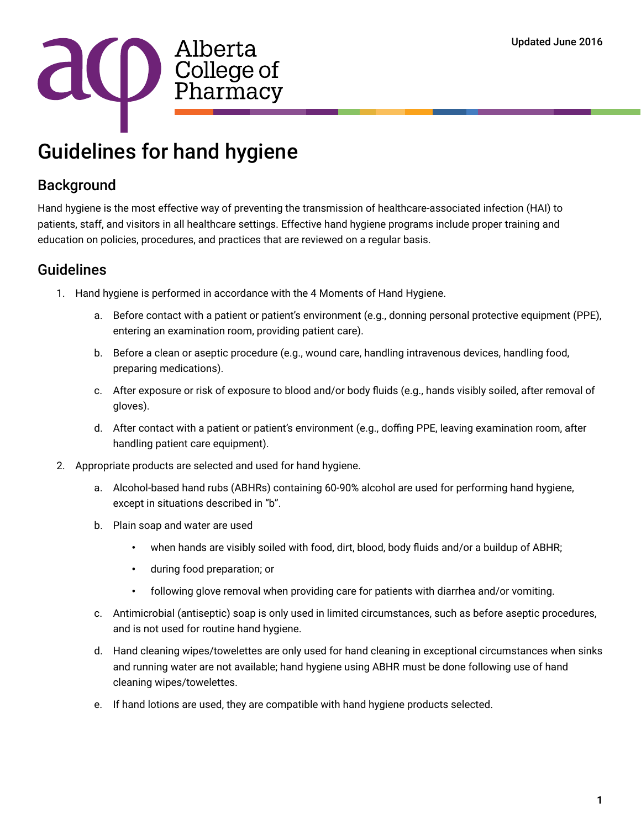

## Guidelines for hand hygiene

## **Background**

Hand hygiene is the most effective way of preventing the transmission of healthcare-associated infection (HAI) to patients, staff, and visitors in all healthcare settings. Effective hand hygiene programs include proper training and education on policies, procedures, and practices that are reviewed on a regular basis.

## Guidelines

- 1. Hand hygiene is performed in accordance with the 4 Moments of Hand Hygiene.
	- a. Before contact with a patient or patient's environment (e.g., donning personal protective equipment (PPE), entering an examination room, providing patient care).
	- b. Before a clean or aseptic procedure (e.g., wound care, handling intravenous devices, handling food, preparing medications).
	- c. After exposure or risk of exposure to blood and/or body fluids (e.g., hands visibly soiled, after removal of gloves).
	- d. After contact with a patient or patient's environment (e.g., doffing PPE, leaving examination room, after handling patient care equipment).
- 2. Appropriate products are selected and used for hand hygiene.
	- a. Alcohol-based hand rubs (ABHRs) containing 60-90% alcohol are used for performing hand hygiene, except in situations described in "b".
	- b. Plain soap and water are used
		- when hands are visibly soiled with food, dirt, blood, body fluids and/or a buildup of ABHR;
		- during food preparation; or
		- following glove removal when providing care for patients with diarrhea and/or vomiting.
	- c. Antimicrobial (antiseptic) soap is only used in limited circumstances, such as before aseptic procedures, and is not used for routine hand hygiene.
	- d. Hand cleaning wipes/towelettes are only used for hand cleaning in exceptional circumstances when sinks and running water are not available; hand hygiene using ABHR must be done following use of hand cleaning wipes/towelettes.
	- e. If hand lotions are used, they are compatible with hand hygiene products selected.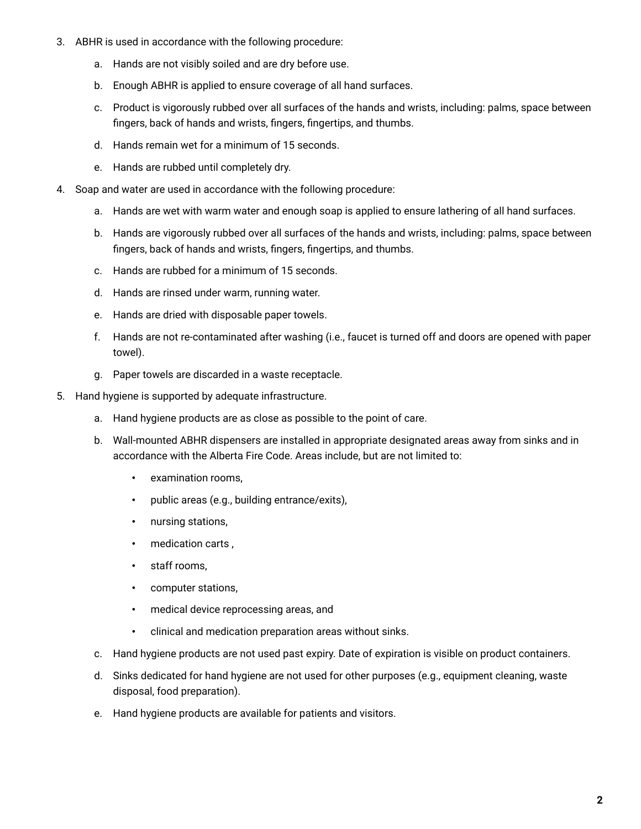- 3. ABHR is used in accordance with the following procedure:
	- a. Hands are not visibly soiled and are dry before use.
	- b. Enough ABHR is applied to ensure coverage of all hand surfaces.
	- c. Product is vigorously rubbed over all surfaces of the hands and wrists, including: palms, space between fingers, back of hands and wrists, fingers, fingertips, and thumbs.
	- d. Hands remain wet for a minimum of 15 seconds.
	- e. Hands are rubbed until completely dry.
- 4. Soap and water are used in accordance with the following procedure:
	- a. Hands are wet with warm water and enough soap is applied to ensure lathering of all hand surfaces.
	- b. Hands are vigorously rubbed over all surfaces of the hands and wrists, including: palms, space between fingers, back of hands and wrists, fingers, fingertips, and thumbs.
	- c. Hands are rubbed for a minimum of 15 seconds.
	- d. Hands are rinsed under warm, running water.
	- e. Hands are dried with disposable paper towels.
	- f. Hands are not re-contaminated after washing (i.e., faucet is turned off and doors are opened with paper towel).
	- g. Paper towels are discarded in a waste receptacle.
- 5. Hand hygiene is supported by adequate infrastructure.
	- a. Hand hygiene products are as close as possible to the point of care.
	- b. Wall-mounted ABHR dispensers are installed in appropriate designated areas away from sinks and in accordance with the Alberta Fire Code. Areas include, but are not limited to:
		- examination rooms,
		- public areas (e.g., building entrance/exits),
		- nursing stations,
		- medication carts ,
		- staff rooms,
		- computer stations,
		- medical device reprocessing areas, and
		- clinical and medication preparation areas without sinks.
	- c. Hand hygiene products are not used past expiry. Date of expiration is visible on product containers.
	- d. Sinks dedicated for hand hygiene are not used for other purposes (e.g., equipment cleaning, waste disposal, food preparation).
	- e. Hand hygiene products are available for patients and visitors.